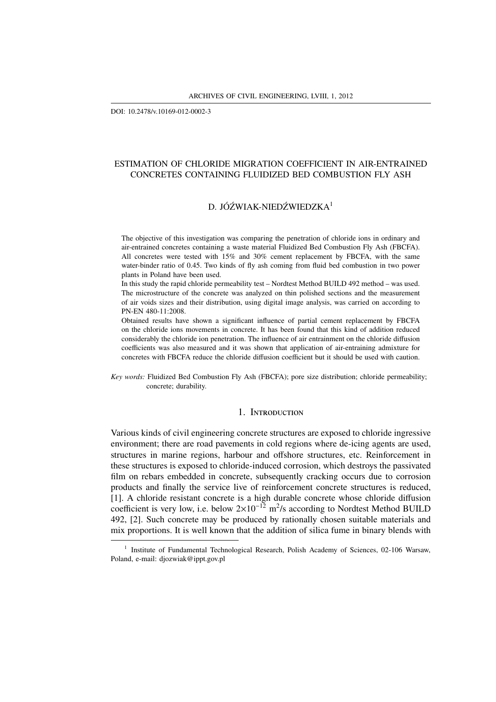DOI: 10.2478/v.10169-012-0002-3

# ESTIMATION OF CHLORIDE MIGRATION COEFFICIENT IN AIR-ENTRAINED CONCRETES CONTAINING FLUIDIZED BED COMBUSTION FLY ASH

# D. JÓŹWIAK-NIEDŹWIEDZKA<sup>1</sup>

The objective of this investigation was comparing the penetration of chloride ions in ordinary and air-entrained concretes containing a waste material Fluidized Bed Combustion Fly Ash (FBCFA). All concretes were tested with 15% and 30% cement replacement by FBCFA, with the same water-binder ratio of 0.45. Two kinds of fly ash coming from fluid bed combustion in two power plants in Poland have been used.

In this study the rapid chloride permeability test – Nordtest Method BUILD 492 method – was used. The microstructure of the concrete was analyzed on thin polished sections and the measurement of air voids sizes and their distribution, using digital image analysis, was carried on according to PN-EN 480-11:2008.

Obtained results have shown a significant influence of partial cement replacement by FBCFA on the chloride ions movements in concrete. It has been found that this kind of addition reduced considerably the chloride ion penetration. The influence of air entrainment on the chloride diffusion coefficients was also measured and it was shown that application of air-entraining admixture for concretes with FBCFA reduce the chloride diffusion coefficient but it should be used with caution.

*Key words:* Fluidized Bed Combustion Fly Ash (FBCFA); pore size distribution; chloride permeability; concrete; durability.

## 1. INTRODUCTION

Various kinds of civil engineering concrete structures are exposed to chloride ingressive environment; there are road pavements in cold regions where de-icing agents are used, structures in marine regions, harbour and offshore structures, etc. Reinforcement in these structures is exposed to chloride-induced corrosion, which destroys the passivated film on rebars embedded in concrete, subsequently cracking occurs due to corrosion products and finally the service live of reinforcement concrete structures is reduced, [1]. A chloride resistant concrete is a high durable concrete whose chloride diffusion coefficient is very low, i.e. below  $2\times10^{-12}$  m<sup>2</sup>/s according to Nordtest Method BUILD 492, [2]. Such concrete may be produced by rationally chosen suitable materials and mix proportions. It is well known that the addition of silica fume in binary blends with

<sup>&</sup>lt;sup>1</sup> Institute of Fundamental Technological Research, Polish Academy of Sciences, 02-106 Warsaw, Poland, e-mail: djozwiak@ippt.gov.pl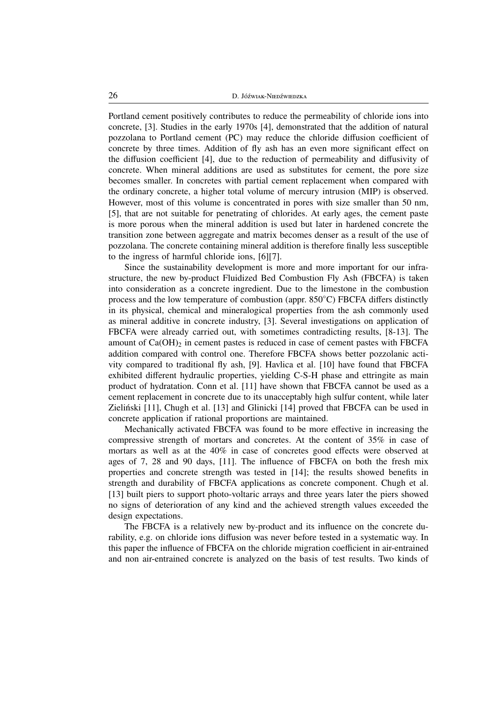Portland cement positively contributes to reduce the permeability of chloride ions into concrete, [3]. Studies in the early 1970s [4], demonstrated that the addition of natural pozzolana to Portland cement (PC) may reduce the chloride diffusion coefficient of concrete by three times. Addition of fly ash has an even more significant effect on the diffusion coefficient [4], due to the reduction of permeability and diffusivity of concrete. When mineral additions are used as substitutes for cement, the pore size becomes smaller. In concretes with partial cement replacement when compared with the ordinary concrete, a higher total volume of mercury intrusion (MIP) is observed. However, most of this volume is concentrated in pores with size smaller than 50 nm, [5], that are not suitable for penetrating of chlorides. At early ages, the cement paste is more porous when the mineral addition is used but later in hardened concrete the transition zone between aggregate and matrix becomes denser as a result of the use of pozzolana. The concrete containing mineral addition is therefore finally less susceptible to the ingress of harmful chloride ions, [6][7].

Since the sustainability development is more and more important for our infrastructure, the new by-product Fluidized Bed Combustion Fly Ash (FBCFA) is taken into consideration as a concrete ingredient. Due to the limestone in the combustion process and the low temperature of combustion (appr. 850◦C) FBCFA differs distinctly in its physical, chemical and mineralogical properties from the ash commonly used as mineral additive in concrete industry, [3]. Several investigations on application of FBCFA were already carried out, with sometimes contradicting results, [8-13]. The amount of  $Ca(OH)_2$  in cement pastes is reduced in case of cement pastes with FBCFA addition compared with control one. Therefore FBCFA shows better pozzolanic activity compared to traditional fly ash, [9]. Havlica et al. [10] have found that FBCFA exhibited different hydraulic properties, yielding C-S-H phase and ettringite as main product of hydratation. Conn et al. [11] have shown that FBCFA cannot be used as a cement replacement in concrete due to its unacceptably high sulfur content, while later Zieliński [11], Chugh et al. [13] and Glinicki [14] proved that FBCFA can be used in concrete application if rational proportions are maintained.

Mechanically activated FBCFA was found to be more effective in increasing the compressive strength of mortars and concretes. At the content of 35% in case of mortars as well as at the 40% in case of concretes good effects were observed at ages of 7, 28 and 90 days, [11]. The influence of FBCFA on both the fresh mix properties and concrete strength was tested in [14]; the results showed benefits in strength and durability of FBCFA applications as concrete component. Chugh et al. [13] built piers to support photo-voltaric arrays and three years later the piers showed no signs of deterioration of any kind and the achieved strength values exceeded the design expectations.

The FBCFA is a relatively new by-product and its influence on the concrete durability, e.g. on chloride ions diffusion was never before tested in a systematic way. In this paper the influence of FBCFA on the chloride migration coefficient in air-entrained and non air-entrained concrete is analyzed on the basis of test results. Two kinds of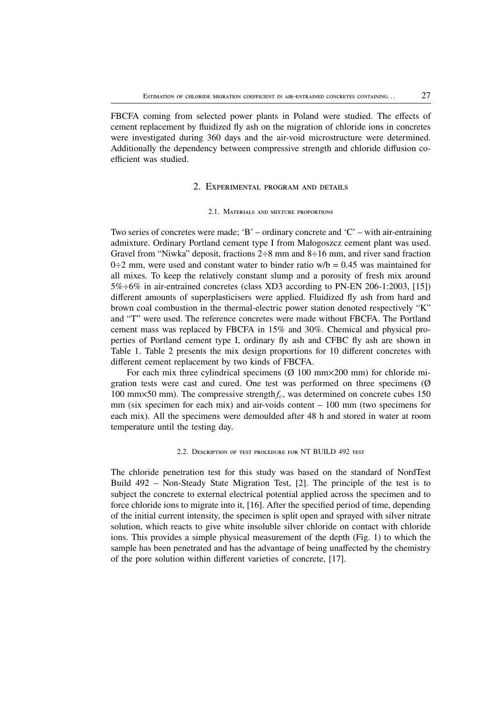FBCFA coming from selected power plants in Poland were studied. The effects of cement replacement by fluidized fly ash on the migration of chloride ions in concretes were investigated during 360 days and the air-void microstructure were determined. Additionally the dependency between compressive strength and chloride diffusion coefficient was studied.

## 2. EXPERIMENTAL PROGRAM AND DETAILS

#### 2.1. MATERIALS AND MIXTURE PROPORTIONS

Two series of concretes were made; 'B' – ordinary concrete and 'C' – with air-entraining admixture. Ordinary Portland cement type I from Małogoszcz cement plant was used. Gravel from "Niwka" deposit, fractions  $2-8$  mm and  $8-16$  mm, and river sand fraction  $0\div 2$  mm, were used and constant water to binder ratio w/b = 0.45 was maintained for all mixes. To keep the relatively constant slump and a porosity of fresh mix around 5%÷6% in air-entrained concretes (class XD3 according to PN-EN 206-1:2003, [15]) different amounts of superplasticisers were applied. Fluidized fly ash from hard and brown coal combustion in the thermal-electric power station denoted respectively "K" and "T" were used. The reference concretes were made without FBCFA. The Portland cement mass was replaced by FBCFA in 15% and 30%. Chemical and physical properties of Portland cement type I, ordinary fly ash and CFBC fly ash are shown in Table 1. Table 2 presents the mix design proportions for 10 different concretes with different cement replacement by two kinds of FBCFA.

For each mix three cylindrical specimens  $(Ø 100 mm \times 200 mm)$  for chloride migration tests were cast and cured. One test was performed on three specimens (Ø 100 mm×50 mm). The compressive strength*fc*, was determined on concrete cubes 150 mm (six specimen for each mix) and air-voids content – 100 mm (two specimens for each mix). All the specimens were demoulded after 48 h and stored in water at room temperature until the testing day.

### 2.2. DESCRIPTION OF TEST PROCEDURE FOR NT BUILD 492 TEST

The chloride penetration test for this study was based on the standard of NordTest Build 492 – Non-Steady State Migration Test, [2]. The principle of the test is to subject the concrete to external electrical potential applied across the specimen and to force chloride ions to migrate into it, [16]. After the specified period of time, depending of the initial current intensity, the specimen is split open and sprayed with silver nitrate solution, which reacts to give white insoluble silver chloride on contact with chloride ions. This provides a simple physical measurement of the depth (Fig. 1) to which the sample has been penetrated and has the advantage of being unaffected by the chemistry of the pore solution within different varieties of concrete, [17].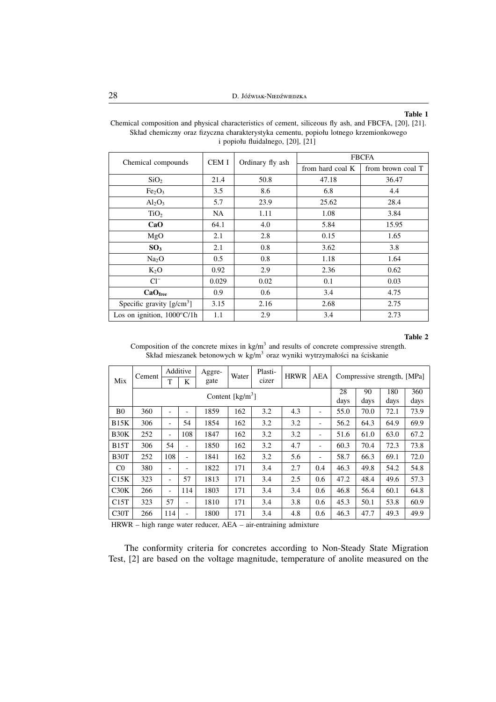### **Table 1**

|                                      |           |                  | <b>FBCFA</b>     |                   |  |  |
|--------------------------------------|-----------|------------------|------------------|-------------------|--|--|
| Chemical compounds                   | CEM I     | Ordinary fly ash | from hard coal K | from brown coal T |  |  |
| SiO <sub>2</sub>                     | 21.4      | 50.8             | 47.18            | 36.47             |  |  |
| Fe <sub>2</sub> O <sub>3</sub>       | 3.5       | 8.6              | 6.8              | 4.4               |  |  |
| $Al_2O_3$                            | 5.7       | 23.9             | 25.62            | 28.4              |  |  |
| TiO <sub>2</sub>                     | <b>NA</b> | 1.11             | 1.08             | 3.84              |  |  |
| CaO                                  | 64.1      | 4.0              | 5.84             | 15.95             |  |  |
| MgO                                  | 2.1       | 2.8              | 0.15             | 1.65              |  |  |
| SO <sub>3</sub>                      | 2.1       | 0.8              | 3.62             | 3.8               |  |  |
| Na <sub>2</sub> O                    | 0.5       | 0.8              | 1.18             | 1.64              |  |  |
| $K_2O$                               | 0.92      | 2.9              | 2.36             | 0.62              |  |  |
| $Cl^{-}$                             | 0.029     | 0.02             | 0.1              | 0.03              |  |  |
| CaO <sub>free</sub>                  | 0.9       | 0.6              | 3.4              | 4.75              |  |  |
| Specific gravity $[g/cm^3]$          | 3.15      | 2.16             | 2.68             | 2.75              |  |  |
| Los on ignition, $1000^{\circ}$ C/1h | 1.1       | 2.9              | 3.4              | 2.73              |  |  |

Chemical composition and physical characteristics of cement, siliceous fly ash, and FBCFA, [20], [21]. Skład chemiczny oraz fizyczna charakterystyka cementu, popiołu lotnego krzemionkowego i popiołu fluidalnego, [20], [21]

#### **Table 2**

Composition of the concrete mixes in  $kg/m<sup>3</sup>$  and results of concrete compressive strength. Skład mieszanek betonowych w kg/m<sup>3</sup> oraz wyniki wytrzymałości na ściskanie

|                   | Cement                                | Additive                 | Aggre-<br>Water          | Plasti- | <b>HRWR</b> | AEA | Compressive strength, [MPa] |                          |      |      |      |      |
|-------------------|---------------------------------------|--------------------------|--------------------------|---------|-------------|-----|-----------------------------|--------------------------|------|------|------|------|
| Mix               |                                       | T                        | gate<br>cizer<br>K       |         |             |     |                             |                          |      |      |      |      |
|                   | Content $\lceil \text{kg/m}^3 \rceil$ |                          |                          |         |             | 28  | 90                          | 180                      | 360  |      |      |      |
|                   |                                       |                          |                          |         |             |     | days                        | days                     | days | days |      |      |
| B <sub>0</sub>    | 360                                   | $\overline{\phantom{a}}$ | $\overline{\phantom{a}}$ | 1859    | 162         | 3.2 | 4.3                         | $\overline{\phantom{a}}$ | 55.0 | 70.0 | 72.1 | 73.9 |
| B15K              | 306                                   | $\overline{\phantom{a}}$ | 54                       | 1854    | 162         | 3.2 | 3.2                         | $\overline{\phantom{a}}$ | 56.2 | 64.3 | 64.9 | 69.9 |
| B30K              | 252                                   | $\overline{\phantom{a}}$ | 108                      | 1847    | 162         | 3.2 | 3.2                         | -                        | 51.6 | 61.0 | 63.0 | 67.2 |
| B15T              | 306                                   | 54                       | $\overline{\phantom{a}}$ | 1850    | 162         | 3.2 | 4.7                         | $\overline{\phantom{a}}$ | 60.3 | 70.4 | 72.3 | 73.8 |
| B <sub>30</sub> T | 252                                   | 108                      | $\overline{\phantom{a}}$ | 1841    | 162         | 3.2 | 5.6                         | -                        | 58.7 | 66.3 | 69.1 | 72.0 |
| C <sub>0</sub>    | 380                                   | $\overline{\phantom{a}}$ | $\overline{\phantom{a}}$ | 1822    | 171         | 3.4 | 2.7                         | 0.4                      | 46.3 | 49.8 | 54.2 | 54.8 |
| C15K              | 323                                   | $\overline{\phantom{a}}$ | 57                       | 1813    | 171         | 3.4 | 2.5                         | 0.6                      | 47.2 | 48.4 | 49.6 | 57.3 |
| C30K              | 266                                   | $\overline{\phantom{a}}$ | 114                      | 1803    | 171         | 3.4 | 3.4                         | 0.6                      | 46.8 | 56.4 | 60.1 | 64.8 |
| C15T              | 323                                   | 57                       | $\overline{\phantom{a}}$ | 1810    | 171         | 3.4 | 3.8                         | 0.6                      | 45.3 | 50.1 | 53.8 | 60.9 |
| C30T              | 266                                   | 114                      | $\overline{\phantom{a}}$ | 1800    | 171         | 3.4 | 4.8                         | 0.6                      | 46.3 | 47.7 | 49.3 | 49.9 |

HRWR – high range water reducer, AEA – air-entraining admixture

The conformity criteria for concretes according to Non-Steady State Migration Test, [2] are based on the voltage magnitude, temperature of anolite measured on the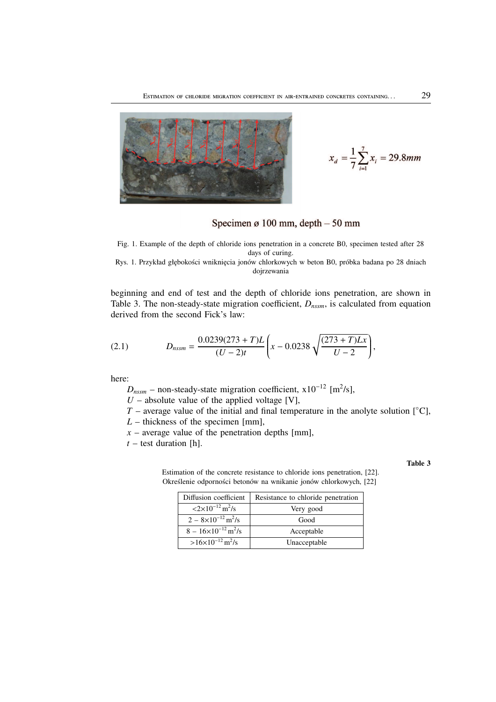

$$
x_d = \frac{1}{7} \sum_{i=1}^{7} x_i = 29.8 \, \text{mm}
$$

Specimen ø 100 mm, depth  $-50$  mm

Fig. 1. Example of the depth of chloride ions penetration in a concrete B0, specimen tested after 28 days of curing.

Rys. 1. Przykład głębokości wniknięcia jonów chlorkowych w beton B0, próbka badana po 28 dniach dojrzewania

beginning and end of test and the depth of chloride ions penetration, are shown in Table 3. The non-steady-state migration coefficient, *Dnssm*, is calculated from equation derived from the second Fick's law:

(2.1) 
$$
D_{nssm} = \frac{0.0239(273+T)L}{(U-2)t} \left(x - 0.0238\sqrt{\frac{(273+T)Lx}{U-2}}\right),
$$

here:

 $D_{nssm}$  – non-steady-state migration coefficient,  $x10^{-12}$  [m<sup>2</sup>/s],

 $U$  – absolute value of the applied voltage [V],

*T* – average value of the initial and final temperature in the anolyte solution  $\lceil \circ C \rceil$ ,

*L* – thickness of the specimen [mm],

 $x$  – average value of the penetration depths [mm],

 $t$  – test duration [h].

### **Table 3**

Estimation of the concrete resistance to chloride ions penetration, [22]. Określenie odporności betonów na wnikanie jonów chlorkowych, [22]

| Diffusion coefficient                                 | Resistance to chloride penetration |  |  |
|-------------------------------------------------------|------------------------------------|--|--|
| $\langle 2 \times 10^{-12} \,\mathrm{m}^2/\mathrm{s}$ | Very good                          |  |  |
| $2 - 8 \times 10^{-12}$ m <sup>2</sup> /s             | Good                               |  |  |
| $8 - 16 \times 10^{-12}$ m <sup>2</sup> /s            | Acceptable                         |  |  |
| $>16\times10^{-12}$ m <sup>2</sup> /s                 | Unacceptable                       |  |  |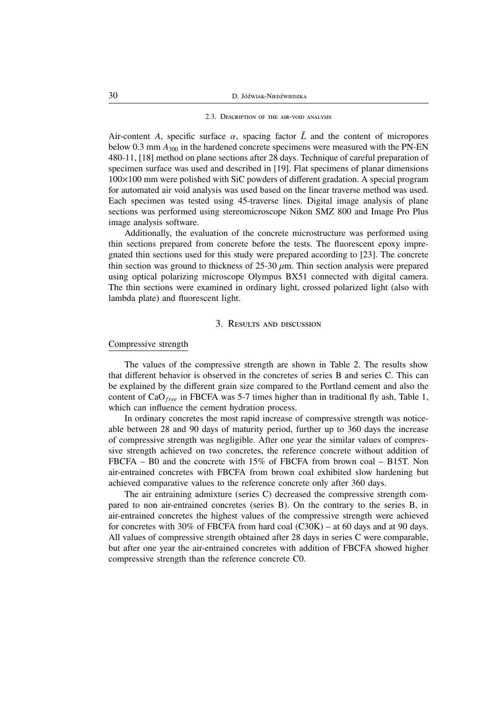### 2.3. DESCRIPTION OF THE AIR-VOID ANALYSIS

Air-content *A*, specific surface  $\alpha$ , spacing factor  $\bar{L}$  and the content of micropores below 0.3 mm  $A_{300}$  in the hardened concrete specimens were measured with the PN-EN 480-11, [18] method on plane sections after 28 days. Technique of careful preparation of specimen surface was used and described in [19]. Flat specimens of planar dimensions 100×100 mm were polished with SiC powders of different gradation. A special program for automated air void analysis was used based on the linear traverse method was used. Each specimen was tested using 45-traverse lines. Digital image analysis of plane sections was performed using stereomicroscope Nikon SMZ 800 and Image Pro Plus image analysis software.

Additionally, the evaluation of the concrete microstructure was performed using thin sections prepared from concrete before the tests. The fluorescent epoxy impregnated thin sections used for this study were prepared according to [23]. The concrete thin section was ground to thickness of  $25-30 \mu m$ . Thin section analysis were prepared using optical polarizing microscope Olympus BX51 connected with digital camera. The thin sections were examined in ordinary light, crossed polarized light (also with lambda plate) and fluorescent light.

## 3. RESULTS AND DISCUSSION

## Compressive strength

The values of the compressive strength are shown in Table 2. The results show that different behavior is observed in the concretes of series B and series C. This can be explained by the different grain size compared to the Portland cement and also the content of CaO*free* in FBCFA was 5-7 times higher than in traditional fly ash, Table 1, which can influence the cement hydration process.

In ordinary concretes the most rapid increase of compressive strength was noticeable between 28 and 90 days of maturity period, further up to 360 days the increase of compressive strength was negligible. After one year the similar values of compressive strength achieved on two concretes, the reference concrete without addition of FBCFA – B0 and the concrete with 15% of FBCFA from brown coal – B15T. Non air-entrained concretes with FBCFA from brown coal exhibited slow hardening but achieved comparative values to the reference concrete only after 360 days.

The air entraining admixture (series C) decreased the compressive strength compared to non air-entrained concretes (series B). On the contrary to the series B, in air-entrained concretes the highest values of the compressive strength were achieved for concretes with 30% of FBCFA from hard coal  $(C30K)$  – at 60 days and at 90 days. All values of compressive strength obtained after 28 days in series C were comparable, but after one year the air-entrained concretes with addition of FBCFA showed higher compressive strength than the reference concrete C0.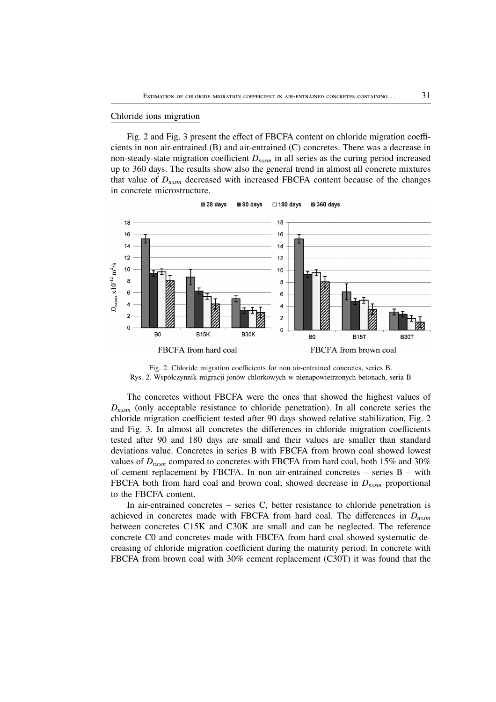### Chloride ions migration

Fig. 2 and Fig. 3 present the effect of FBCFA content on chloride migration coefficients in non air-entrained (B) and air-entrained (C) concretes. There was a decrease in non-steady-state migration coefficient *Dnssm* in all series as the curing period increased up to 360 days. The results show also the general trend in almost all concrete mixtures that value of *Dnssm* decreased with increased FBCFA content because of the changes in concrete microstructure.



Fig. 2. Chloride migration coefficients for non air-entrained concretes, series B. Rys. 2. Współczynnik migracji jonów chlorkowych w nienapowietrzonych betonach, seria B

The concretes without FBCFA were the ones that showed the highest values of *Dnssm* (only acceptable resistance to chloride penetration). In all concrete series the chloride migration coefficient tested after 90 days showed relative stabilization, Fig. 2 and Fig. 3. In almost all concretes the differences in chloride migration coefficients tested after 90 and 180 days are small and their values are smaller than standard deviations value. Concretes in series B with FBCFA from brown coal showed lowest values of *Dnssm* compared to concretes with FBCFA from hard coal, both 15% and 30% of cement replacement by FBCFA. In non air-entrained concretes – series B – with FBCFA both from hard coal and brown coal, showed decrease in *Dnssm* proportional to the FBCFA content.

In air-entrained concretes – series C, better resistance to chloride penetration is achieved in concretes made with FBCFA from hard coal. The differences in  $D_{n_{\text{S6}}m}$ between concretes C15K and C30K are small and can be neglected. The reference concrete C0 and concretes made with FBCFA from hard coal showed systematic decreasing of chloride migration coefficient during the maturity period. In concrete with FBCFA from brown coal with 30% cement replacement (C30T) it was found that the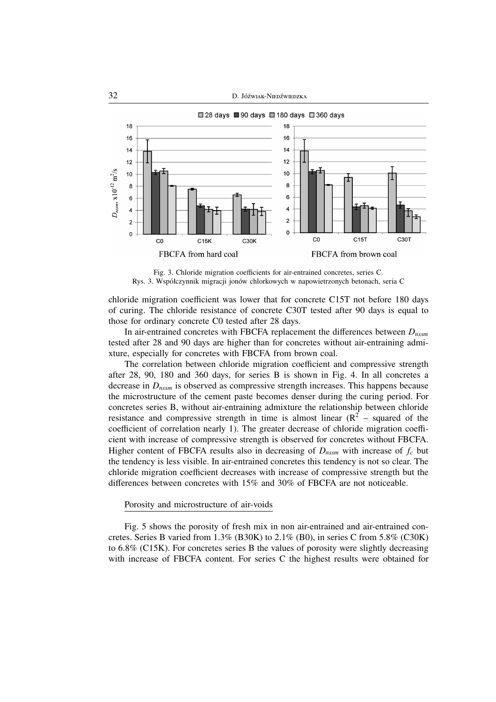

Fig. 3. Chloride migration coefficients for air-entrained concretes, series C. Rys. 3. Współczynnik migracji jonów chlorkowych w napowietrzonych betonach, seria C

chloride migration coefficient was lower that for concrete C15T not before 180 days of curing. The chloride resistance of concrete C30T tested after 90 days is equal to those for ordinary concrete C0 tested after 28 days.

In air-entrained concretes with FBCFA replacement the differences between *Dnssm* tested after 28 and 90 days are higher than for concretes without air-entraining admixture, especially for concretes with FBCFA from brown coal.

The correlation between chloride migration coefficient and compressive strength after 28, 90, 180 and 360 days, for series B is shown in Fig. 4. In all concretes a decrease in *Dnssm* is observed as compressive strength increases. This happens because the microstructure of the cement paste becomes denser during the curing period. For concretes series B, without air-entraining admixture the relationship between chloride resistance and compressive strength in time is almost linear  $(R^2$  – squared of the coefficient of correlation nearly 1). The greater decrease of chloride migration coefficient with increase of compressive strength is observed for concretes without FBCFA. Higher content of FBCFA results also in decreasing of  $D_{nssm}$  with increase of  $f_c$  but the tendency is less visible. In air-entrained concretes this tendency is not so clear. The chloride migration coefficient decreases with increase of compressive strength but the differences between concretes with 15% and 30% of FBCFA are not noticeable.

### Porosity and microstructure of air-voids

Fig. 5 shows the porosity of fresh mix in non air-entrained and air-entrained concretes. Series B varied from 1.3% (B30K) to 2.1% (B0), in series C from 5.8% (C30K) to 6.8% (C15K). For concretes series B the values of porosity were slightly decreasing with increase of FBCFA content. For series C the highest results were obtained for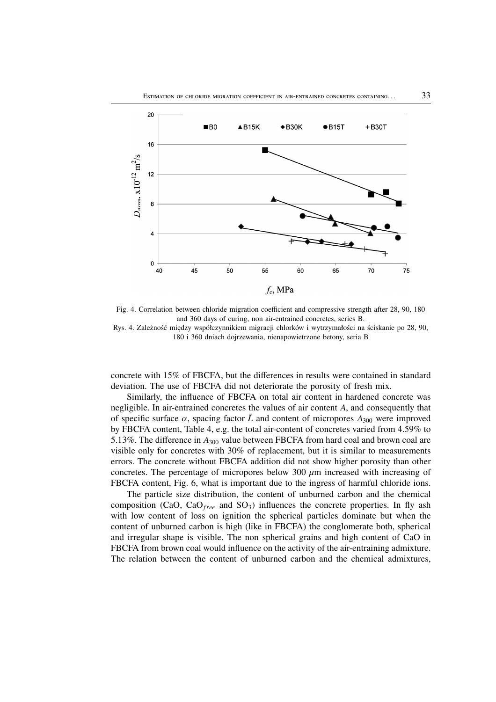

Fig. 4. Correlation between chloride migration coefficient and compressive strength after 28, 90, 180 and 360 days of curing, non air-entrained concretes, series B. Rys. 4. Zależność między współczynnikiem migracji chlorków i wytrzymałości na ściskanie po 28, 90,

180 i 360 dniach dojrzewania, nienapowietrzone betony, seria B

concrete with 15% of FBCFA, but the differences in results were contained in standard deviation. The use of FBCFA did not deteriorate the porosity of fresh mix.

Similarly, the influence of FBCFA on total air content in hardened concrete was negligible. In air-entrained concretes the values of air content *A*, and consequently that of specific surface  $\alpha$ , spacing factor  $\bar{L}$  and content of micropores  $A_{300}$  were improved by FBCFA content, Table 4, e.g. the total air-content of concretes varied from 4.59% to 5.13%. The difference in *A*<sup>300</sup> value between FBCFA from hard coal and brown coal are visible only for concretes with 30% of replacement, but it is similar to measurements errors. The concrete without FBCFA addition did not show higher porosity than other concretes. The percentage of micropores below 300  $\mu$ m increased with increasing of FBCFA content, Fig. 6, what is important due to the ingress of harmful chloride ions.

The particle size distribution, the content of unburned carbon and the chemical composition (CaO, CaO*free* and SO3) influences the concrete properties. In fly ash with low content of loss on ignition the spherical particles dominate but when the content of unburned carbon is high (like in FBCFA) the conglomerate both, spherical and irregular shape is visible. The non spherical grains and high content of CaO in FBCFA from brown coal would influence on the activity of the air-entraining admixture. The relation between the content of unburned carbon and the chemical admixtures,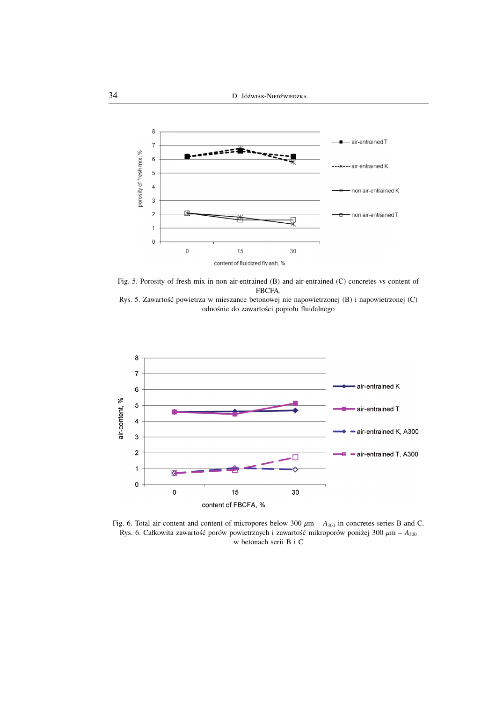

Fig. 5. Porosity of fresh mix in non air-entrained (B) and air-entrained (C) concretes vs content of FBCFA.





Fig. 6. Total air content and content of micropores below  $300 \mu m - A_{300}$  in concretes series B and C. Rys. 6. Całkowita zawartość porów powietrznych i zawartość mikroporów poniżej 300 µm – *A*<sup>300</sup> w betonach serii B i C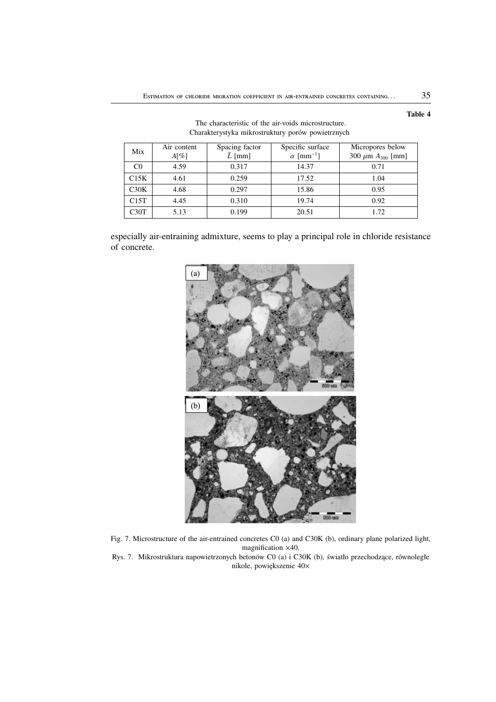| Mix  | Air content | Spacing factor | Specific surface             | Micropores below           |
|------|-------------|----------------|------------------------------|----------------------------|
|      | $A[\%]$     | $L$ [mm]       | $\alpha$ [mm <sup>-1</sup> ] | 300 $\mu$ m $A_{300}$ [mm] |
| C0   | 4.59        | 0.317          | 14.37                        | 0.71                       |
| C15K | 4.61        | 0.259          | 17.52                        | 1.04                       |
| C30K | 4.68        | 0.297          | 15.86                        | 0.95                       |
| C15T | 4.45        | 0.310          | 19.74                        | 0.92                       |
| C30T | 5.13        | 0.199          | 20.51                        | 1.72                       |

The characteristic of the air-voids microstructure. Charakterystyka mikrostruktury porów powietrznych

especially air-entraining admixture, seems to play a principal role in chloride resistance of concrete.



Fig. 7. Microstructure of the air-entrained concretes C0 (a) and C30K (b), ordinary plane polarized light, magnification ×40.

Rys. 7. Mikrostruktura napowietrzonych betonów C0 (a) i C30K (b), światło przechodzące, równoległe nikole, powiększenie 40×

**Table 4**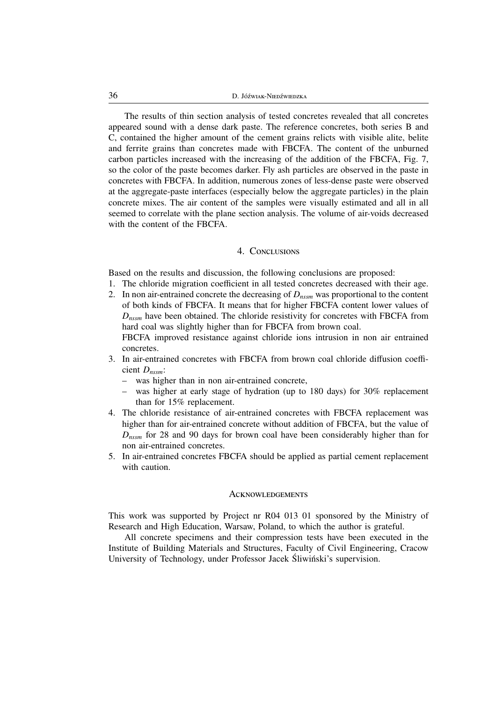The results of thin section analysis of tested concretes revealed that all concretes appeared sound with a dense dark paste. The reference concretes, both series B and C, contained the higher amount of the cement grains relicts with visible alite, belite and ferrite grains than concretes made with FBCFA. The content of the unburned carbon particles increased with the increasing of the addition of the FBCFA, Fig. 7, so the color of the paste becomes darker. Fly ash particles are observed in the paste in concretes with FBCFA. In addition, numerous zones of less-dense paste were observed at the aggregate-paste interfaces (especially below the aggregate particles) in the plain concrete mixes. The air content of the samples were visually estimated and all in all seemed to correlate with the plane section analysis. The volume of air-voids decreased with the content of the FBCFA.

## 4. CONCLUSIONS

Based on the results and discussion, the following conclusions are proposed:

- 1. The chloride migration coefficient in all tested concretes decreased with their age.
- 2. In non air-entrained concrete the decreasing of *Dnssm* was proportional to the content of both kinds of FBCFA. It means that for higher FBCFA content lower values of *Dnssm* have been obtained. The chloride resistivity for concretes with FBCFA from hard coal was slightly higher than for FBCFA from brown coal. FBCFA improved resistance against chloride ions intrusion in non air entrained
- concretes. 3. In air-entrained concretes with FBCFA from brown coal chloride diffusion coefficient *Dnssm*:
	- was higher than in non air-entrained concrete,
	- was higher at early stage of hydration (up to 180 days) for 30% replacement than for 15% replacement.
- 4. The chloride resistance of air-entrained concretes with FBCFA replacement was higher than for air-entrained concrete without addition of FBCFA, but the value of *Dnssm* for 28 and 90 days for brown coal have been considerably higher than for non air-entrained concretes.
- 5. In air-entrained concretes FBCFA should be applied as partial cement replacement with caution.

### **ACKNOWLEDGEMENTS**

This work was supported by Project nr R04 013 01 sponsored by the Ministry of Research and High Education, Warsaw, Poland, to which the author is grateful.

All concrete specimens and their compression tests have been executed in the Institute of Building Materials and Structures, Faculty of Civil Engineering, Cracow University of Technology, under Professor Jacek Śliwiński's supervision.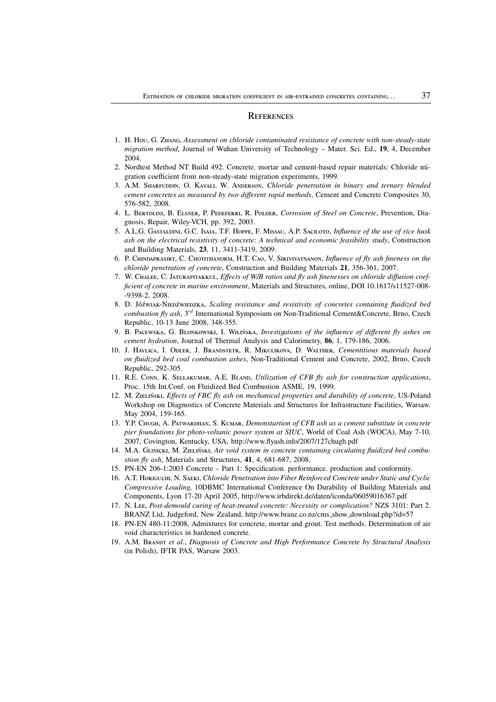### **REFERENCES**

- 1. H. Hou, G. ZHANG, Assessment on chloride contaminated resistance of concrete with non-steady-state *migration method*, Journal of Wuhan University of Technology – Mater. Sci. Ed., **19**, 4, December 2004.
- 2. Nordtest Method NT Build 492. Concrete. mortar and cement-based repair materials: Chloride migration coefficient from non-steady-state migration experiments, 1999.
- 3. A.M. SHARFUDDIN, O. KAYALI, W. ANDERSON, Chloride penetration in binary and ternary blended *cement concretes as measured by two different rapid methods*, Cement and Concrete Composites 30, 576-582, 2008.
- 4. L. BERTOLINI, B. ELSNER, P. PEDEFERRI, R. POLDER, Corrosion of Steel on Concrete, Prevention, Diagnosis, Repair, Wiley-VCH, pp. 392, 2003.
- 5. A.L.G. GASTALDINI, G.C. ISAIA, T.F. HOPPE, F. MISSAU, A.P. SACILOTO, *Influence of the use of rice husk ash on the electrical resistivity of concrete: A technical and economic feasibility study*, Construction and Building Materials, **23**, 11, 3411-3419, 2009.
- 6. P. CHINDAPRASIRT, C. CHOTITHANORM, H.T. CAO, V. SIRIVIVATNANON, *Influence of fly ash fineness on the chloride penetration of concrete*, Construction and Building Materials **21**, 356-361, 2007.
- 7. W. CHALEE, C. JATURAPITAKKUL, Effects of W/B ratios and fly ash finenesses on chloride diffusion coef*ficient of concrete in marine environment*, Materials and Structures, online, DOI 10.1617/s11527-008- -9398-2, 2008.
- 8. D. Jóźwiak-Niepźwiepzka, *Scaling resistance and resistivity of concretes containing fluidized bed combustion fly ash*, 3*rd* International Symposium on Non-Traditional Cement&Concrete, Brno, Czech Republic, 10-13 June 2008, 348-355.
- 9. B. PACEWSKA, G. BLONKOWSKI, I. WILIŃSKA, *Investigations of the influence of different fly ashes on cement hydration*, Journal of Thermal Analysis and Calorimetry, **86**, 1, 179-186, 2006.
- 10. J. HAVLICA, I. ODLER, J. BRANDSTETR, R. MIKULIKOVA, D. WALTHER, Cementitious materials based *on fluidized bed coal combustion ashes*, Non-Traditional Cement and Concrete, 2002, Brno, Czech Republic, 292-305.
- 11. R.E. CONN, K. SELLAKUMAR, A.E. BLAND, *Utilization of CFB fly ash for construction applications*, Proc. 15th Int.Conf. on Fluidized Bed Combustion ASME, 19, 1999.
- 12. M. ZIELIŃSKI, *Effects of FBC fly ash on mechanical properties and durability of concrete*, US-Poland Workshop on Diagnostics of Concrete Materials and Structures for Infrastructure Facilities, Warsaw. May 2004, 159-165.
- 13. Y.P. CHUGH, A. PATWARDHAN, S. KUMAR, *Demonstartion of CFB ash as a cement substitute in concrete pier foundations for photo-voltanic power system at SIUC*, World of Coal Ash (WOCA), May 7-10, 2007, Covington, Kentucky, USA, http://www.flyash.info/2007/127chugh.pdf
- 14. M.A. GLINICKI, M. ZIELIŃSKI, Air void system in concrete containing circulating fluidized bed combu*stion fly ash*, Materials and Structures, **41**, 4, 681-687, 2008.
- 15. PN-EN 206-1:2003 Concrete Part 1: Specification. performance. production and conformity.
- 16. A.T. HORIGUCHI, N. SAEKI, *Chloride Penetration into Fiber Reinforced Concrete under Static and Cyclic Compressive Loading*, 10DBMC International Conference On Durability of Building Materials and Components, Lyon 17-20 April 2005, http://www.irbdirekt.de/daten/iconda/06059016367.pdf
- 17. N. Lee, *Post-demould curing of heat-treated concrete: Necessity or complication?* NZS 3101: Part 2. BRANZ Ltd, Judgeford, New Zealand, http://www.branz.co.nz/cms show download.php?id=57
- 18. PN-EN 480-11:2008, Admixtures for concrete, mortar and grout. Test methods. Determination of air void characteristics in hardened concrete.
- 19. A.M. B *et al.*, *Diagnosis of Concrete and High Performance Concrete by Structural Analysis* (in Polish), IFTR PAS, Warsaw 2003.